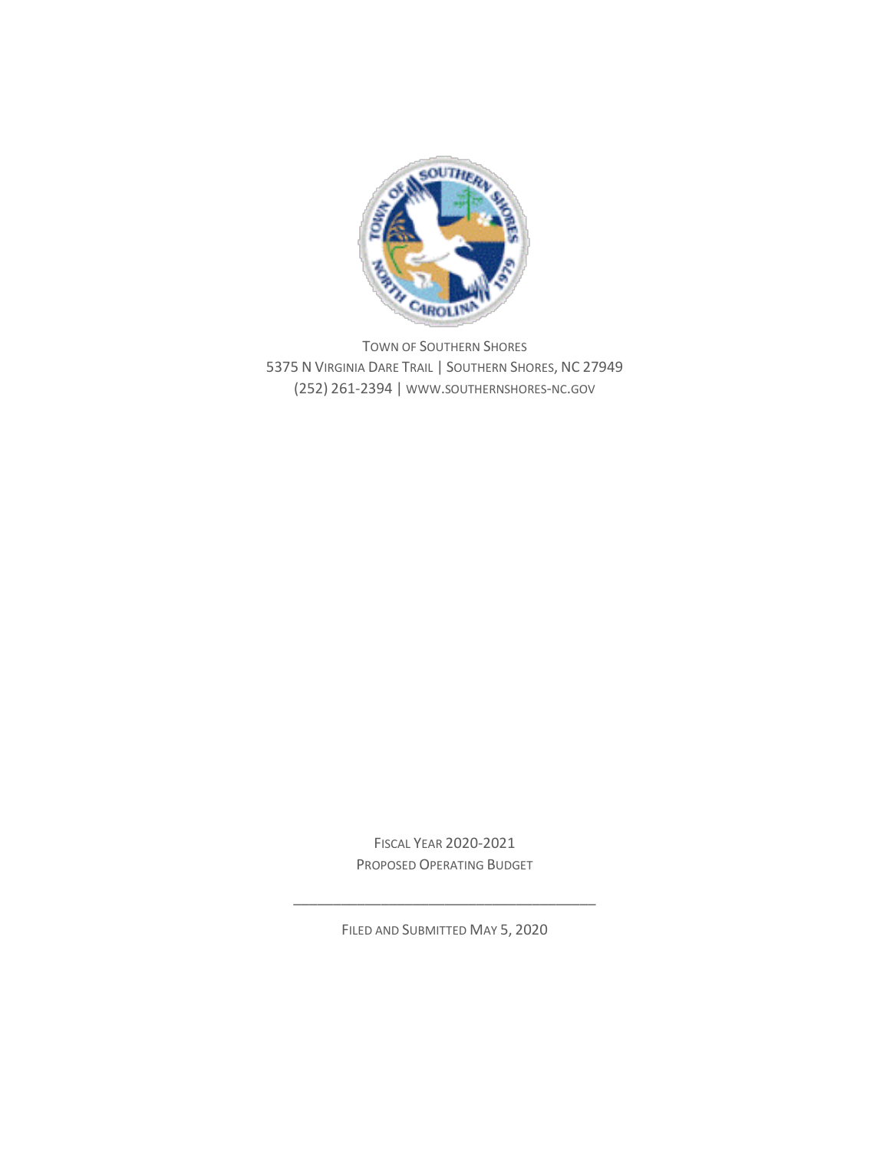

TOWN OF SOUTHERN SHORES 5375 N VIRGINIA DARE TRAIL | SOUTHERN SHORES, NC 27949 (252) 261-2394 | WWW.SOUTHERNSHORES-NC.GOV

> FISCAL YEAR 2020-2021 PROPOSED OPERATING BUDGET

FILED AND SUBMITTED MAY 5, 2020

\_\_\_\_\_\_\_\_\_\_\_\_\_\_\_\_\_\_\_\_\_\_\_\_\_\_\_\_\_\_\_\_\_\_\_\_\_\_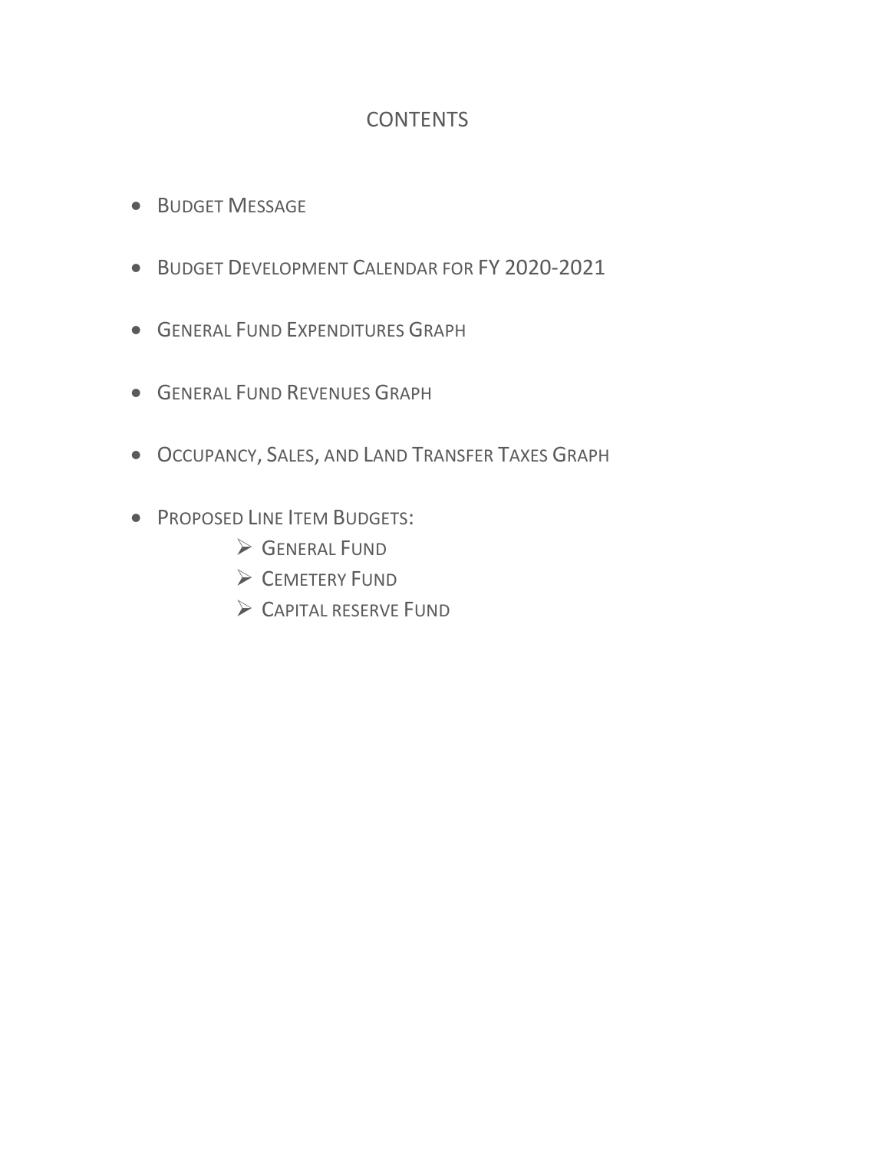## **CONTENTS**

- BUDGET MESSAGE
- BUDGET DEVELOPMENT CALENDAR FOR FY 2020-2021
- **GENERAL FUND EXPENDITURES GRAPH**
- GENERAL FUND REVENUES GRAPH
- OCCUPANCY, SALES, AND LAND TRANSFER TAXES GRAPH
- **PROPOSED LINE ITEM BUDGETS:** 
	- **SENERAL FUND**
	- CEMETERY FUND
	- CAPITAL RESERVE FUND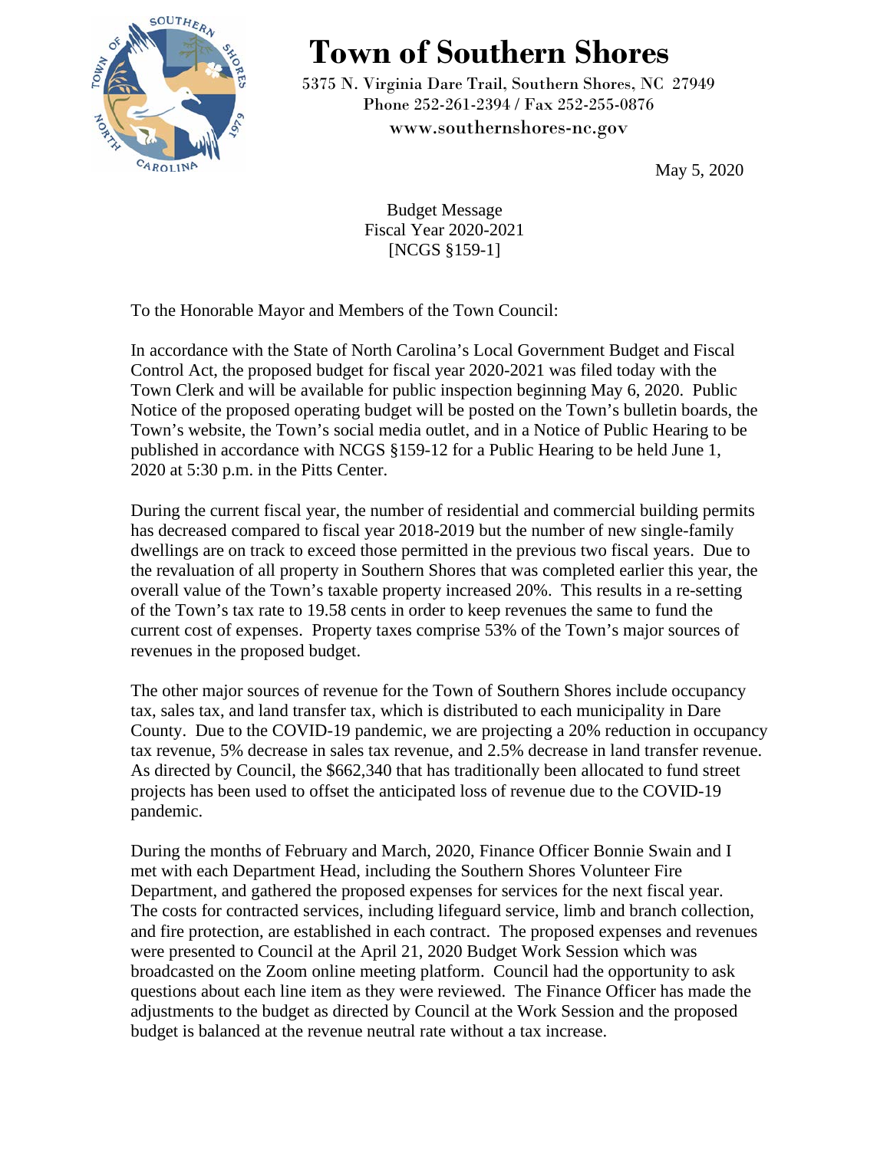

## **Town of Southern Shores**

5375 N. Virginia Dare Trail, Southern Shores, NC 27949 Phone 252-261-2394 / Fax 252-255-0876 [www.southernshores-nc.gov](http://www.southernshores-nc.gov/)

May 5, 2020

Budget Message Fiscal Year 2020-2021 [NCGS §159-1]

To the Honorable Mayor and Members of the Town Council:

In accordance with the State of North Carolina's Local Government Budget and Fiscal Control Act, the proposed budget for fiscal year 2020-2021 was filed today with the Town Clerk and will be available for public inspection beginning May 6, 2020. Public Notice of the proposed operating budget will be posted on the Town's bulletin boards, the Town's website, the Town's social media outlet, and in a Notice of Public Hearing to be published in accordance with NCGS §159-12 for a Public Hearing to be held June 1, 2020 at 5:30 p.m. in the Pitts Center.

During the current fiscal year, the number of residential and commercial building permits has decreased compared to fiscal year 2018-2019 but the number of new single-family dwellings are on track to exceed those permitted in the previous two fiscal years. Due to the revaluation of all property in Southern Shores that was completed earlier this year, the overall value of the Town's taxable property increased 20%. This results in a re-setting of the Town's tax rate to 19.58 cents in order to keep revenues the same to fund the current cost of expenses. Property taxes comprise 53% of the Town's major sources of revenues in the proposed budget.

The other major sources of revenue for the Town of Southern Shores include occupancy tax, sales tax, and land transfer tax, which is distributed to each municipality in Dare County. Due to the COVID-19 pandemic, we are projecting a 20% reduction in occupancy tax revenue, 5% decrease in sales tax revenue, and 2.5% decrease in land transfer revenue. As directed by Council, the \$662,340 that has traditionally been allocated to fund street projects has been used to offset the anticipated loss of revenue due to the COVID-19 pandemic.

During the months of February and March, 2020, Finance Officer Bonnie Swain and I met with each Department Head, including the Southern Shores Volunteer Fire Department, and gathered the proposed expenses for services for the next fiscal year. The costs for contracted services, including lifeguard service, limb and branch collection, and fire protection, are established in each contract. The proposed expenses and revenues were presented to Council at the April 21, 2020 Budget Work Session which was broadcasted on the Zoom online meeting platform. Council had the opportunity to ask questions about each line item as they were reviewed. The Finance Officer has made the adjustments to the budget as directed by Council at the Work Session and the proposed budget is balanced at the revenue neutral rate without a tax increase.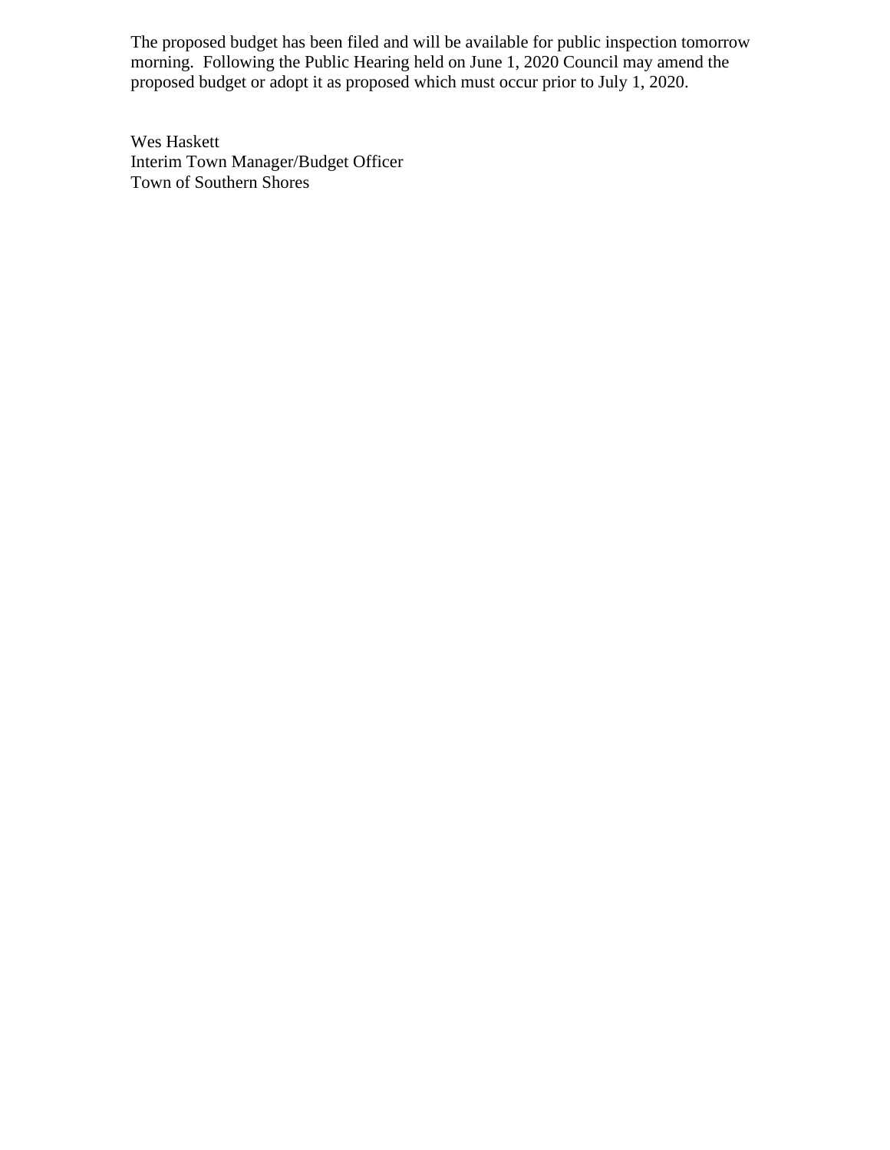The proposed budget has been filed and will be available for public inspection tomorrow morning. Following the Public Hearing held on June 1, 2020 Council may amend the proposed budget or adopt it as proposed which must occur prior to July 1, 2020.

Wes Haskett Interim Town Manager/Budget Officer Town of Southern Shores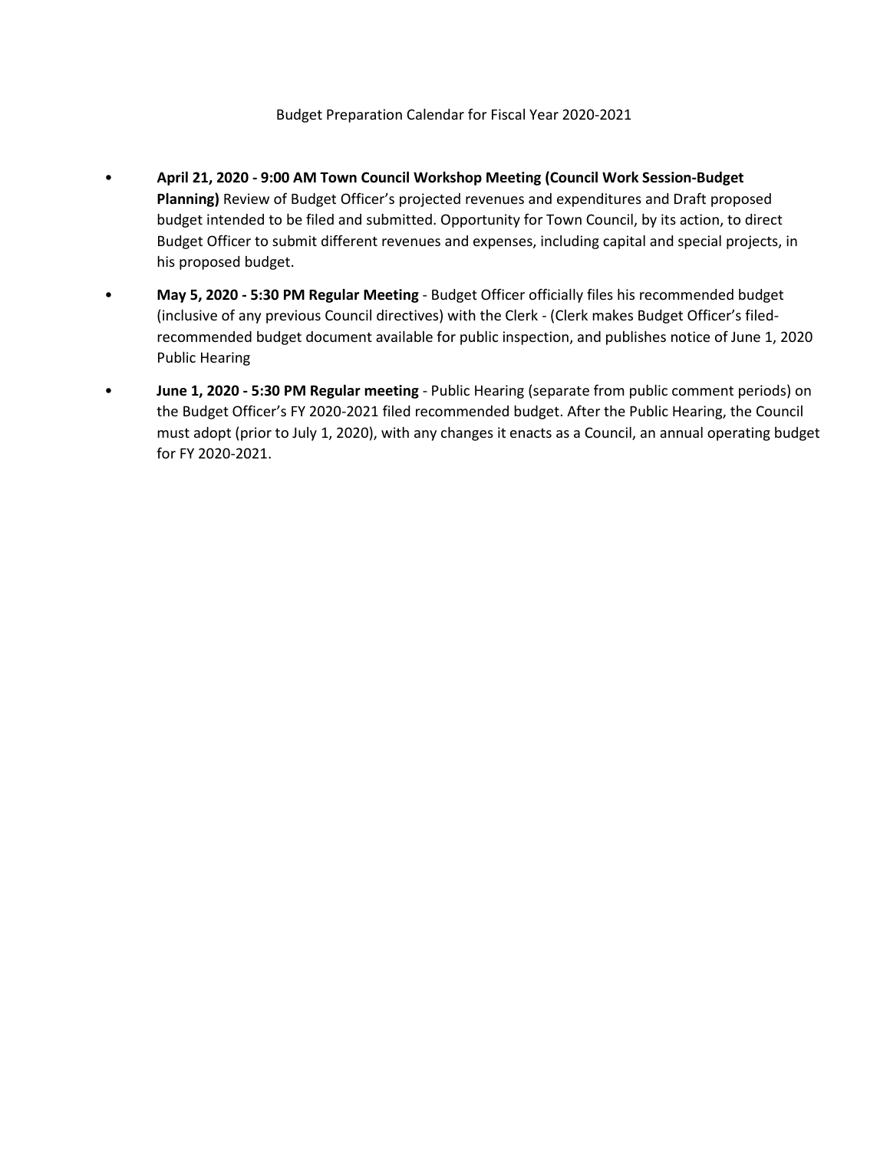- **April 21, 2020 - 9:00 AM Town Council Workshop Meeting (Council Work Session-Budget Planning)** Review of Budget Officer's projected revenues and expenditures and Draft proposed budget intended to be filed and submitted. Opportunity for Town Council, by its action, to direct Budget Officer to submit different revenues and expenses, including capital and special projects, in his proposed budget.
- **May 5, 2020 - 5:30 PM Regular Meeting** Budget Officer officially files his recommended budget (inclusive of any previous Council directives) with the Clerk - (Clerk makes Budget Officer's filedrecommended budget document available for public inspection, and publishes notice of June 1, 2020 Public Hearing
- **June 1, 2020 - 5:30 PM Regular meeting**  Public Hearing (separate from public comment periods) on the Budget Officer's FY 2020-2021 filed recommended budget. After the Public Hearing, the Council must adopt (prior to July 1, 2020), with any changes it enacts as a Council, an annual operating budget for FY 2020-2021.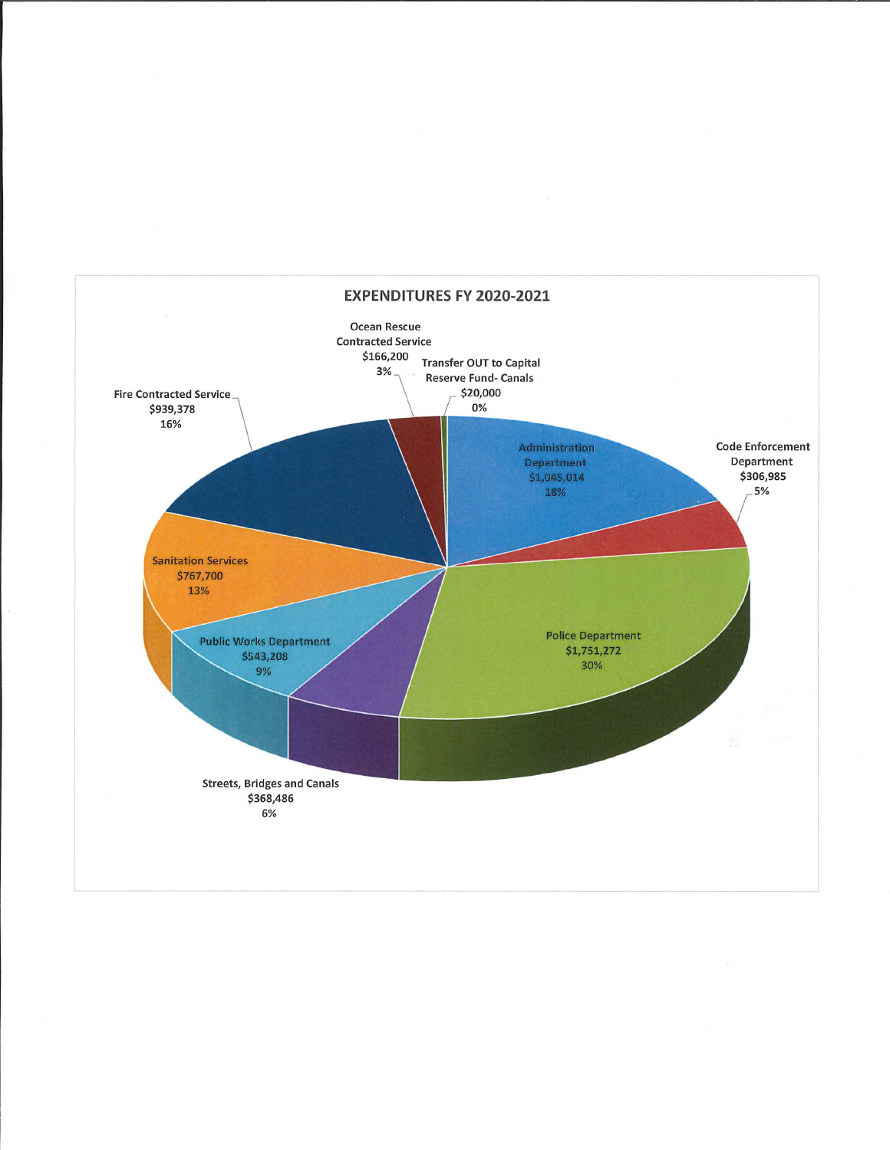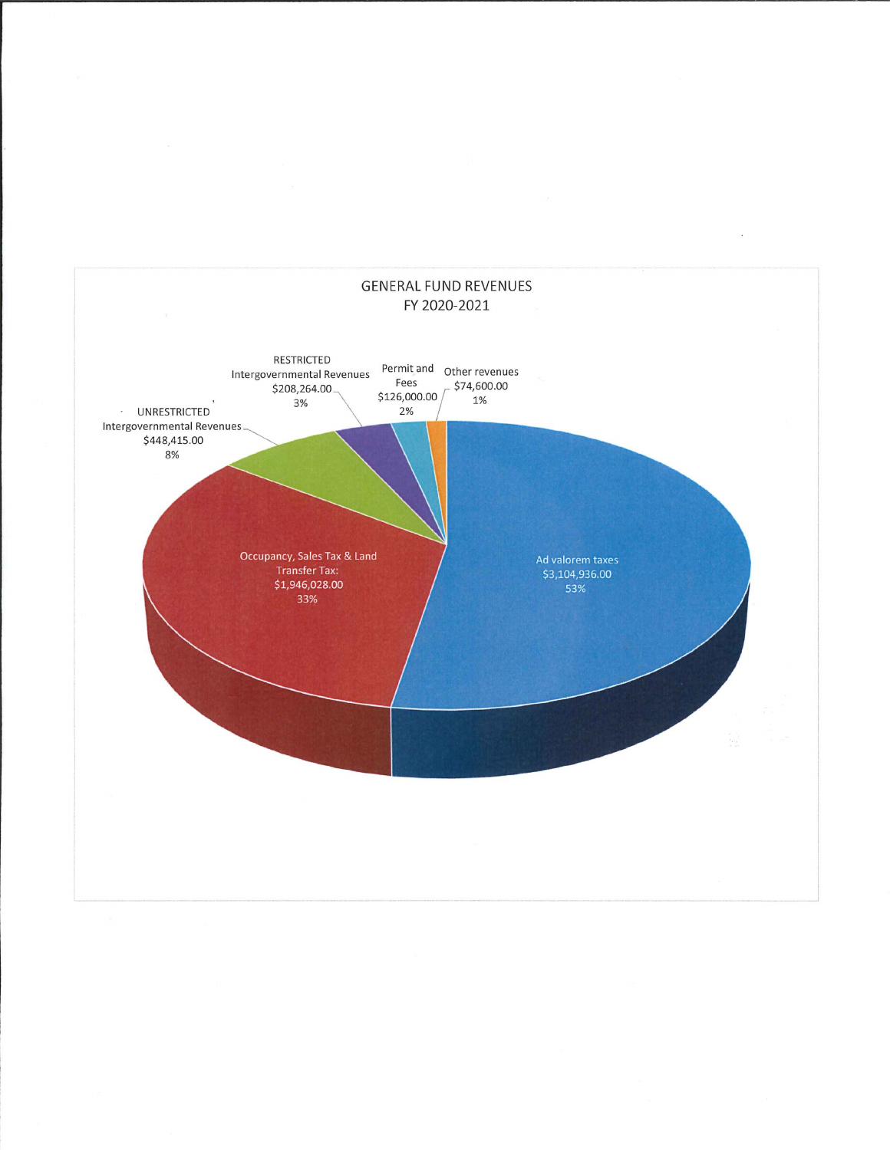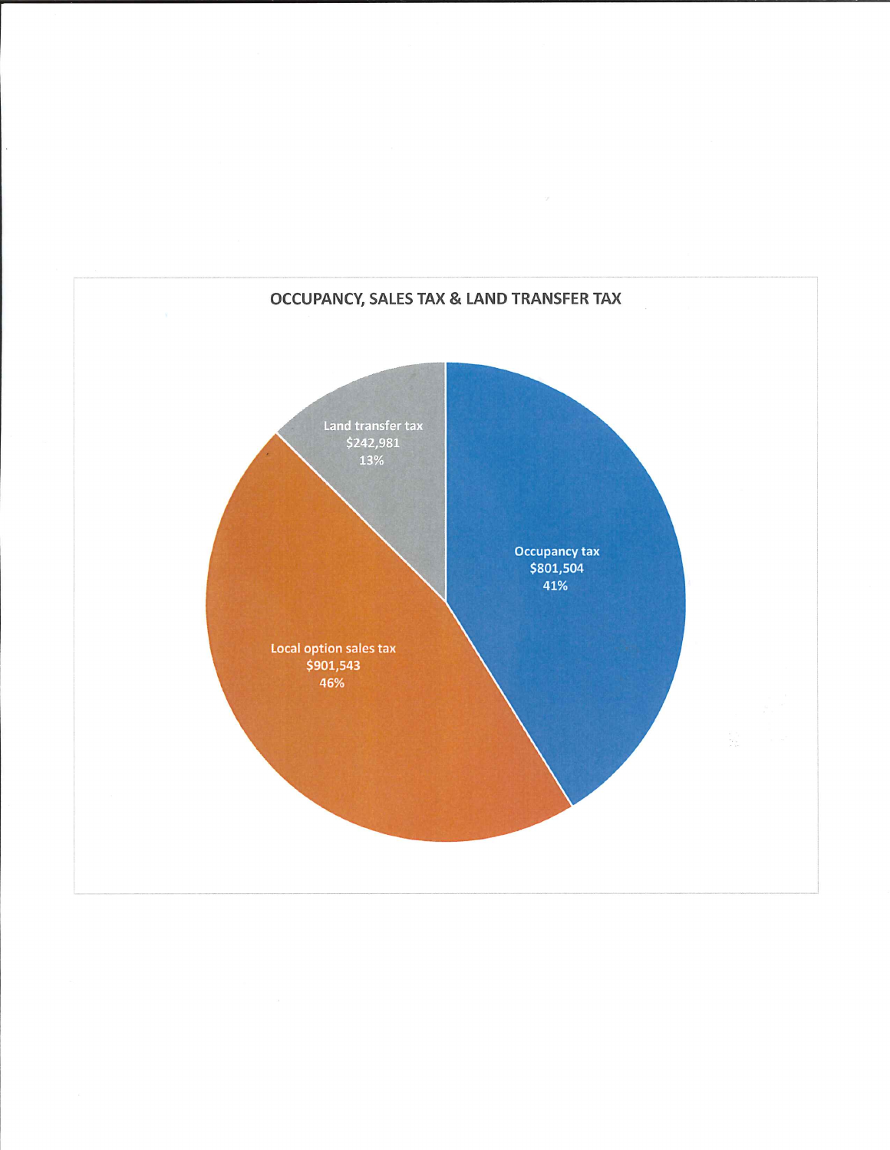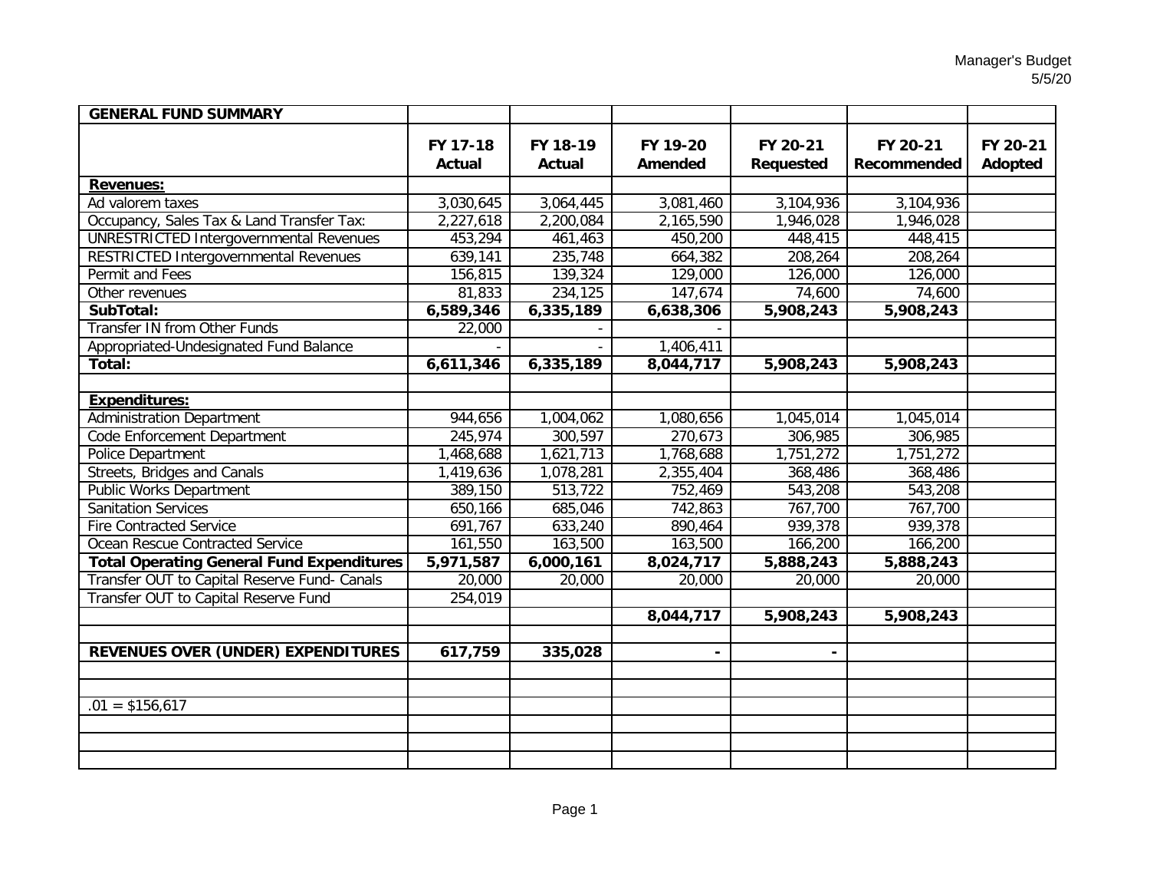| <b>GENERAL FUND SUMMARY</b>                      |                    |                           |                     |                       |                         |                     |
|--------------------------------------------------|--------------------|---------------------------|---------------------|-----------------------|-------------------------|---------------------|
|                                                  | FY 17-18<br>Actual | FY 18-19<br><b>Actual</b> | FY 19-20<br>Amended | FY 20-21<br>Requested | FY 20-21<br>Recommended | FY 20-21<br>Adopted |
| <b>Revenues:</b>                                 |                    |                           |                     |                       |                         |                     |
| Ad valorem taxes                                 | 3,030,645          | 3,064,445                 | 3,081,460           | 3,104,936             | 3,104,936               |                     |
| Occupancy, Sales Tax & Land Transfer Tax:        | 2,227,618          | 2,200,084                 | 2,165,590           | 1,946,028             | 1,946,028               |                     |
| <b>UNRESTRICTED Intergovernmental Revenues</b>   | 453,294            | 461,463                   | 450,200             | 448,415               | 448,415                 |                     |
| RESTRICTED Intergovernmental Revenues            | 639,141            | 235,748                   | 664,382             | 208,264               | 208,264                 |                     |
| Permit and Fees                                  | 156,815            | 139,324                   | 129,000             | 126,000               | 126,000                 |                     |
| Other revenues                                   | 81,833             | 234,125                   | 147,674             | 74,600                | 74,600                  |                     |
| SubTotal:                                        | 6,589,346          | 6,335,189                 | 6,638,306           | 5,908,243             | 5,908,243               |                     |
| <b>Transfer IN from Other Funds</b>              | 22,000             |                           |                     |                       |                         |                     |
| Appropriated-Undesignated Fund Balance           |                    |                           | 1,406,411           |                       |                         |                     |
| Total:                                           | 6,611,346          | 6,335,189                 | 8,044,717           | 5,908,243             | 5,908,243               |                     |
|                                                  |                    |                           |                     |                       |                         |                     |
| <b>Expenditures:</b>                             |                    |                           |                     |                       |                         |                     |
| <b>Administration Department</b>                 | 944,656            | 1,004,062                 | 1,080,656           | 1,045,014             | 1,045,014               |                     |
| Code Enforcement Department                      | 245,974            | 300,597                   | 270,673             | 306,985               | 306,985                 |                     |
| Police Department                                | 1,468,688          | 1,621,713                 | 1,768,688           | 1,751,272             | 1,751,272               |                     |
| <b>Streets, Bridges and Canals</b>               | 1,419,636          | 1,078,281                 | 2,355,404           | 368,486               | 368,486                 |                     |
| <b>Public Works Department</b>                   | 389,150            | 513,722                   | 752,469             | 543,208               | 543,208                 |                     |
| <b>Sanitation Services</b>                       | 650,166            | 685,046                   | 742,863             | 767,700               | 767,700                 |                     |
| <b>Fire Contracted Service</b>                   | 691,767            | 633,240                   | 890,464             | 939,378               | 939,378                 |                     |
| Ocean Rescue Contracted Service                  | 161,550            | 163,500                   | 163,500             | 166,200               | 166,200                 |                     |
| <b>Total Operating General Fund Expenditures</b> | 5,971,587          | 6,000,161                 | 8,024,717           | 5,888,243             | 5,888,243               |                     |
| Transfer OUT to Capital Reserve Fund- Canals     | 20,000             | 20,000                    | 20,000              | 20,000                | 20,000                  |                     |
| Transfer OUT to Capital Reserve Fund             | 254,019            |                           |                     |                       |                         |                     |
|                                                  |                    |                           | 8,044,717           | 5,908,243             | 5,908,243               |                     |
|                                                  |                    |                           |                     |                       |                         |                     |
| REVENUES OVER (UNDER) EXPENDITURES               | 617,759            | 335,028                   |                     |                       |                         |                     |
|                                                  |                    |                           |                     |                       |                         |                     |
|                                                  |                    |                           |                     |                       |                         |                     |
| $.01 = $156,617$                                 |                    |                           |                     |                       |                         |                     |
|                                                  |                    |                           |                     |                       |                         |                     |
|                                                  |                    |                           |                     |                       |                         |                     |
|                                                  |                    |                           |                     |                       |                         |                     |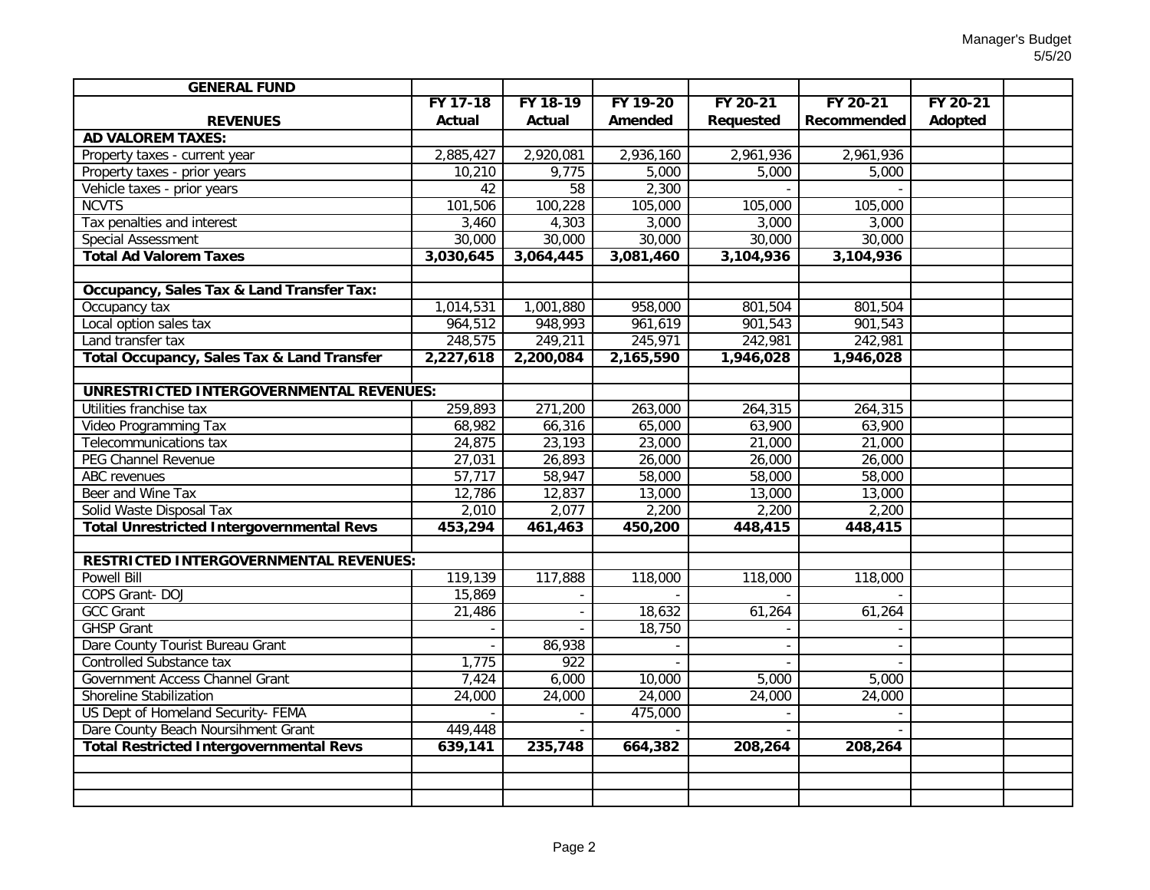| <b>GENERAL FUND</b>                              |           |                  |           |                  |             |          |  |
|--------------------------------------------------|-----------|------------------|-----------|------------------|-------------|----------|--|
|                                                  | FY 17-18  | FY 18-19         | FY 19-20  | FY 20-21         | FY 20-21    | FY 20-21 |  |
| <b>REVENUES</b>                                  | Actual    | Actual           | Amended   | <b>Requested</b> | Recommended | Adopted  |  |
| <b>AD VALOREM TAXES:</b>                         |           |                  |           |                  |             |          |  |
| Property taxes - current year                    | 2,885,427 | 2,920,081        | 2,936,160 | 2,961,936        | 2,961,936   |          |  |
| Property taxes - prior years                     | 10,210    | 9,775            | 5,000     | 5,000            | 5,000       |          |  |
| Vehicle taxes - prior years                      | 42        | $\overline{58}$  | 2,300     |                  |             |          |  |
| <b>NCVTS</b>                                     | 101,506   | 100,228          | 105,000   | 105,000          | 105,000     |          |  |
| Tax penalties and interest                       | 3,460     | 4,303            | 3,000     | 3,000            | 3,000       |          |  |
| <b>Special Assessment</b>                        | 30,000    | 30,000           | 30,000    | 30,000           | 30,000      |          |  |
| <b>Total Ad Valorem Taxes</b>                    | 3,030,645 | 3,064,445        | 3,081,460 | 3,104,936        | 3,104,936   |          |  |
|                                                  |           |                  |           |                  |             |          |  |
| Occupancy, Sales Tax & Land Transfer Tax:        |           |                  |           |                  |             |          |  |
| Occupancy tax                                    | 1,014,531 | 1,001,880        | 958,000   | 801,504          | 801,504     |          |  |
| Local option sales tax                           | 964,512   | 948,993          | 961,619   | 901,543          | 901,543     |          |  |
| Land transfer tax                                | 248,575   | 249,211          | 245,971   | 242,981          | 242,981     |          |  |
| Total Occupancy, Sales Tax & Land Transfer       | 2,227,618 | 2,200,084        | 2,165,590 | 1,946,028        | 1,946,028   |          |  |
|                                                  |           |                  |           |                  |             |          |  |
| UNRESTRICTED INTERGOVERNMENTAL REVENUES:         |           |                  |           |                  |             |          |  |
| Utilities franchise tax                          | 259,893   | 271,200          | 263,000   | 264,315          | 264,315     |          |  |
| Video Programming Tax                            | 68,982    | 66,316           | 65,000    | 63,900           | 63,900      |          |  |
| Telecommunications tax                           | 24,875    | 23,193           | 23,000    | 21,000           | 21,000      |          |  |
| PEG Channel Revenue                              | 27,031    | 26,893           | 26,000    | 26,000           | 26,000      |          |  |
| <b>ABC</b> revenues                              | 57,717    | 58,947           | 58,000    | 58,000           | 58,000      |          |  |
| Beer and Wine Tax                                | 12,786    | 12,837           | 13,000    | 13,000           | 13,000      |          |  |
| Solid Waste Disposal Tax                         | 2,010     | 2,077            | 2,200     | 2,200            | 2,200       |          |  |
| <b>Total Unrestricted Intergovernmental Revs</b> | 453,294   | 461,463          | 450,200   | 448,415          | 448,415     |          |  |
|                                                  |           |                  |           |                  |             |          |  |
| <b>RESTRICTED INTERGOVERNMENTAL REVENUES:</b>    |           |                  |           |                  |             |          |  |
| <b>Powell Bill</b>                               | 119,139   | 117,888          | 118,000   | 118,000          | 118,000     |          |  |
| COPS Grant-DOJ                                   | 15,869    |                  |           |                  |             |          |  |
| <b>GCC Grant</b>                                 | 21,486    |                  | 18,632    | 61,264           | 61,264      |          |  |
| <b>GHSP Grant</b>                                |           |                  | 18,750    |                  |             |          |  |
| Dare County Tourist Bureau Grant                 |           | 86,938           |           |                  |             |          |  |
| Controlled Substance tax                         | 1,775     | $\overline{922}$ |           |                  |             |          |  |
| Government Access Channel Grant                  | 7,424     | 6,000            | 10,000    | 5,000            | 5,000       |          |  |
| <b>Shoreline Stabilization</b>                   | 24,000    | 24,000           | 24,000    | 24,000           | 24,000      |          |  |
| US Dept of Homeland Security- FEMA               |           |                  | 475,000   |                  |             |          |  |
| Dare County Beach Noursihment Grant              | 449,448   |                  |           |                  |             |          |  |
| <b>Total Restricted Intergovernmental Revs</b>   | 639,141   | 235,748          | 664,382   | 208,264          | 208,264     |          |  |
|                                                  |           |                  |           |                  |             |          |  |
|                                                  |           |                  |           |                  |             |          |  |
|                                                  |           |                  |           |                  |             |          |  |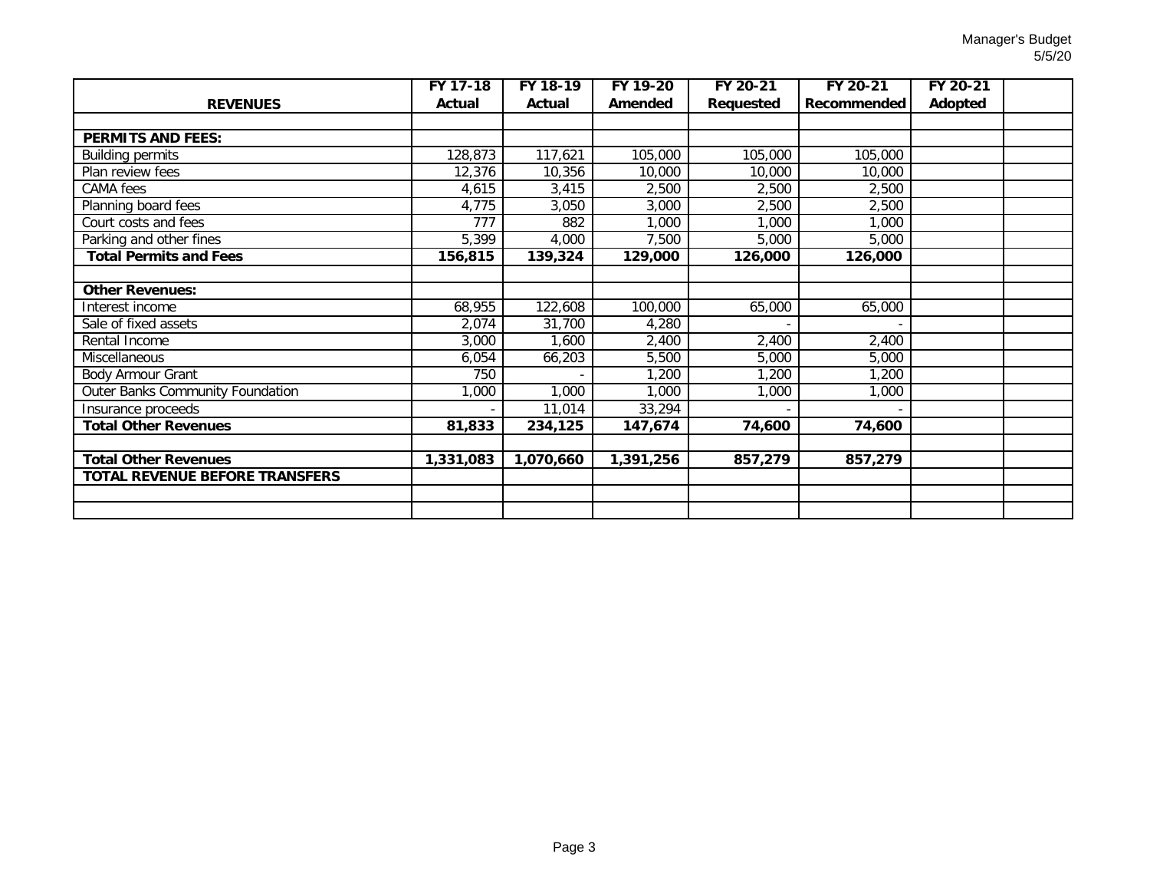|                                       | FY 17-18         | FY 18-19  | FY 19-20  | FY 20-21  | FY 20-21    | FY 20-21 |  |
|---------------------------------------|------------------|-----------|-----------|-----------|-------------|----------|--|
| <b>REVENUES</b>                       | Actual           | Actual    | Amended   | Requested | Recommended | Adopted  |  |
|                                       |                  |           |           |           |             |          |  |
| <b>PERMITS AND FEES:</b>              |                  |           |           |           |             |          |  |
| <b>Building permits</b>               | 128,873          | 117,621   | 105,000   | 105,000   | 105,000     |          |  |
| Plan review fees                      | 12,376           | 10,356    | 10,000    | 10,000    | 10,000      |          |  |
| CAMA fees                             | 4,615            | 3,415     | 2,500     | 2,500     | 2,500       |          |  |
| Planning board fees                   | 4,775            | 3,050     | 3,000     | 2,500     | 2,500       |          |  |
| Court costs and fees                  | $\overline{777}$ | 882       | 1,000     | 1,000     | 1,000       |          |  |
| Parking and other fines               | 5,399            | 4,000     | 7,500     | 5,000     | 5,000       |          |  |
| <b>Total Permits and Fees</b>         | 156,815          | 139,324   | 129,000   | 126,000   | 126,000     |          |  |
|                                       |                  |           |           |           |             |          |  |
| <b>Other Revenues:</b>                |                  |           |           |           |             |          |  |
| Interest income                       | 68,955           | 122,608   | 100,000   | 65,000    | 65,000      |          |  |
| Sale of fixed assets                  | 2,074            | 31,700    | 4,280     |           |             |          |  |
| Rental Income                         | 3,000            | ,600      | 2,400     | 2,400     | 2,400       |          |  |
| Miscellaneous                         | 6,054            | 66,203    | 5,500     | 5,000     | 5,000       |          |  |
| Body Armour Grant                     | 750              |           | 1,200     | 1,200     | 1,200       |          |  |
| Outer Banks Community Foundation      | 1,000            | 1,000     | 1,000     | ,000      | 1,000       |          |  |
| Insurance proceeds                    |                  | 11,014    | 33,294    |           |             |          |  |
| <b>Total Other Revenues</b>           | 81,833           | 234,125   | 147,674   | 74,600    | 74,600      |          |  |
|                                       |                  |           |           |           |             |          |  |
| <b>Total Other Revenues</b>           | 1,331,083        | 1,070,660 | 1,391,256 | 857,279   | 857,279     |          |  |
| <b>TOTAL REVENUE BEFORE TRANSFERS</b> |                  |           |           |           |             |          |  |
|                                       |                  |           |           |           |             |          |  |
|                                       |                  |           |           |           |             |          |  |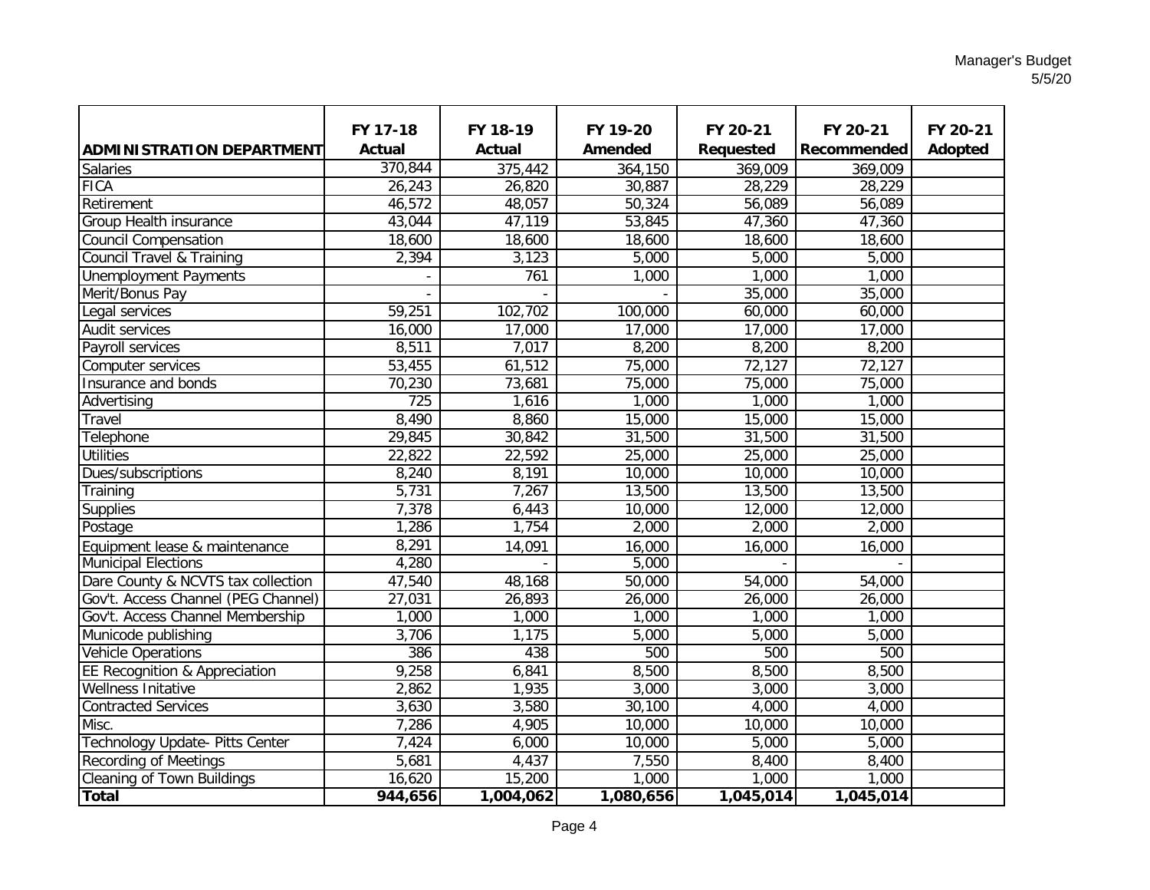|                                              | FY 17-18      | FY 18-19         | FY 19-20          | FY 20-21             | FY 20-21          | FY 20-21 |
|----------------------------------------------|---------------|------------------|-------------------|----------------------|-------------------|----------|
|                                              | <b>Actual</b> | <b>Actual</b>    | <b>Amended</b>    |                      |                   | Adopted  |
| <b>ADMINISTRATION DEPARTMENT</b><br>Salaries | 370,844       | 375,442          |                   | Requested<br>369,009 | Recommended       |          |
| <b>FICA</b>                                  | 26,243        | 26,820           | 364,150<br>30,887 | 28,229               | 369,009<br>28,229 |          |
| Retirement                                   | 46,572        | 48,057           | 50,324            | 56,089               | 56,089            |          |
| <b>Group Health insurance</b>                | 43,044        | 47,119           | 53,845            | 47,360               | 47,360            |          |
| <b>Council Compensation</b>                  | 18,600        | 18,600           | 18,600            | 18,600               | 18,600            |          |
| <b>Council Travel &amp; Training</b>         | 2,394         | 3,123            | 5,000             | 5,000                | 5,000             |          |
| <b>Unemployment Payments</b>                 |               | $\overline{761}$ | 1,000             | 1,000                | 1,000             |          |
| Merit/Bonus Pay                              |               |                  |                   | 35,000               | 35,000            |          |
| Legal services                               | 59,251        | 102,702          | 100,000           | 60,000               | 60,000            |          |
| <b>Audit services</b>                        | 16,000        | 17,000           | 17,000            | 17,000               | 17,000            |          |
| Payroll services                             | 8,511         | 7,017            | 8,200             | 8,200                | 8,200             |          |
| Computer services                            | 53,455        | 61,512           | 75,000            | 72,127               | 72,127            |          |
| Insurance and bonds                          | 70,230        | 73,681           | 75,000            | 75,000               | 75,000            |          |
| Advertising                                  | 725           | 1,616            | 1,000             | 1,000                | 1,000             |          |
| Travel                                       | 8,490         | 8,860            | 15,000            | 15,000               | 15,000            |          |
| Telephone                                    | 29,845        | 30,842           | 31,500            | 31,500               | 31,500            |          |
| <b>Utilities</b>                             | 22,822        | 22,592           | 25,000            | 25,000               | 25,000            |          |
| Dues/subscriptions                           | 8,240         | 8,191            | 10,000            | 10,000               | 10,000            |          |
| Training                                     | 5,731         | 7,267            | 13,500            | 13,500               | 13,500            |          |
| Supplies                                     | 7,378         | 6,443            | 10,000            | 12,000               | 12,000            |          |
| Postage                                      | 1,286         | 1,754            | 2,000             | 2,000                | 2,000             |          |
| Equipment lease & maintenance                | 8,291         | 14,091           | 16,000            | 16,000               | 16,000            |          |
| <b>Municipal Elections</b>                   | 4,280         |                  | 5,000             |                      |                   |          |
| Dare County & NCVTS tax collection           | 47,540        | 48,168           | 50,000            | 54,000               | 54,000            |          |
| Gov't. Access Channel (PEG Channel)          | 27,031        | 26,893           | 26,000            | 26,000               | 26,000            |          |
| Gov't. Access Channel Membership             | 1,000         | 1,000            | 1,000             | 1,000                | 1,000             |          |
| Municode publishing                          | 3,706         | 1,175            | 5,000             | 5,000                | 5,000             |          |
| <b>Vehicle Operations</b>                    | 386           | 438              | 500               | 500                  | 500               |          |
| EE Recognition & Appreciation                | 9,258         | 6,841            | 8,500             | 8,500                | 8,500             |          |
| <b>Wellness Initative</b>                    | 2,862         | 1,935            | 3,000             | 3,000                | 3,000             |          |
| <b>Contracted Services</b>                   | 3,630         | 3,580            | 30,100            | 4,000                | 4,000             |          |
| Misc.                                        | 7,286         | 4,905            | 10,000            | 10,000               | 10,000            |          |
| Technology Update- Pitts Center              | 7,424         | 6,000            | 10,000            | 5,000                | 5,000             |          |
| Recording of Meetings                        | 5,681         | 4,437            | 7,550             | 8,400                | 8,400             |          |
| <b>Cleaning of Town Buildings</b>            | 16,620        | 15,200           | 1,000             | 1,000                | 1,000             |          |
| <b>Total</b>                                 | 944,656       | 1,004,062        | 1,080,656         | 1,045,014            | 1,045,014         |          |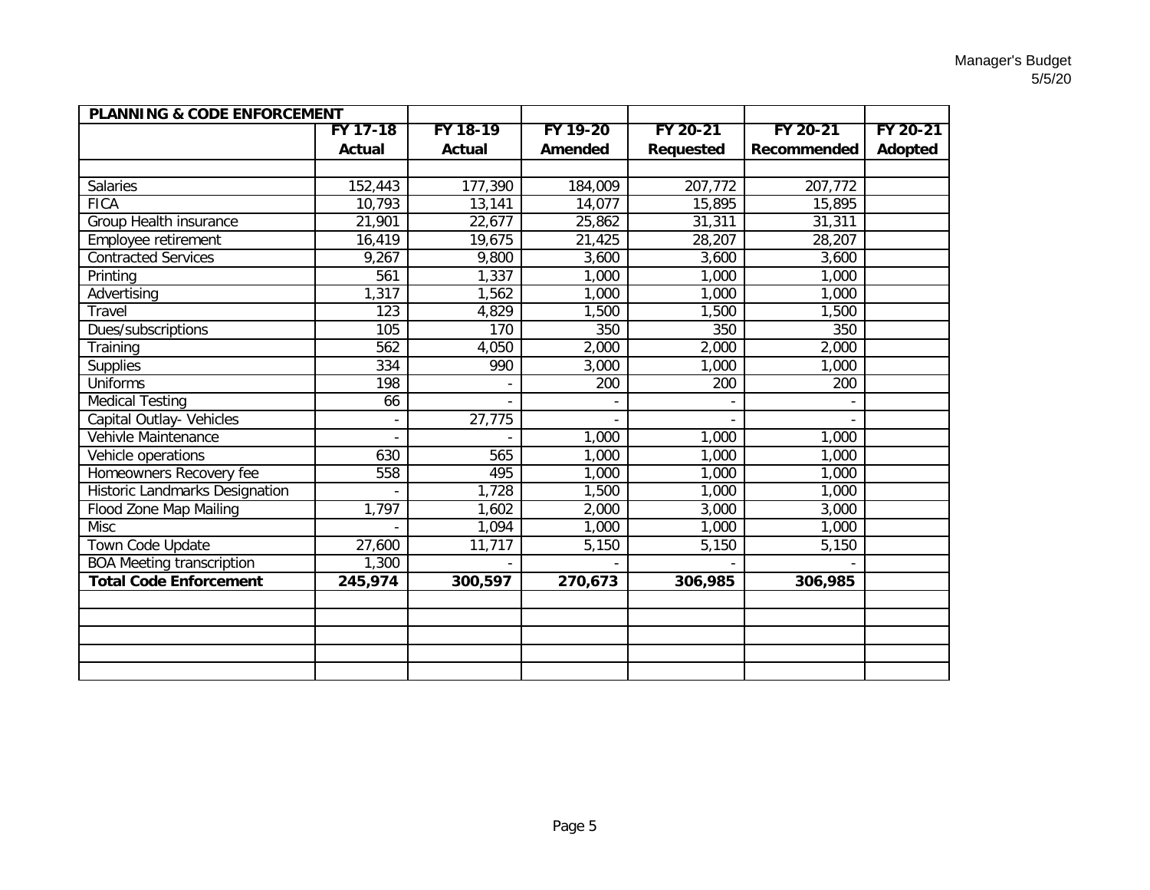| <b>PLANNING &amp; CODE ENFORCEMENT</b> |                  |                  |          |                  |             |          |
|----------------------------------------|------------------|------------------|----------|------------------|-------------|----------|
|                                        | FY 17-18         | FY 18-19         | FY 19-20 | FY 20-21         | FY 20-21    | FY 20-21 |
|                                        | Actual           | Actual           | Amended  | <b>Requested</b> | Recommended | Adopted  |
|                                        |                  |                  |          |                  |             |          |
| <b>Salaries</b>                        | 152,443          | 177,390          | 184,009  | 207,772          | 207,772     |          |
| <b>FICA</b>                            | 10,793           | 13,141           | 14,077   | 15,895           | 15,895      |          |
| Group Health insurance                 | 21,901           | 22,677           | 25,862   | 31,311           | 31,311      |          |
| <b>Employee retirement</b>             | 16,419           | 19,675           | 21,425   | 28,207           | 28,207      |          |
| <b>Contracted Services</b>             | 9,267            | 9,800            | 3,600    | 3,600            | 3,600       |          |
| Printing                               | 561              | 1,337            | 1,000    | 1,000            | 1,000       |          |
| Advertising                            | 1,317            | 1,562            | 1,000    | 1,000            | 1,000       |          |
| Travel                                 | $\overline{123}$ | 4,829            | 1,500    | 1,500            | 1,500       |          |
| Dues/subscriptions                     | 105              | $\overline{170}$ | 350      | 350              | 350         |          |
| Training                               | 562              | 4,050            | 2,000    | 2,000            | 2,000       |          |
| Supplies                               | 334              | 990              | 3,000    | 1,000            | 1,000       |          |
| <b>Uniforms</b>                        | 198              |                  | 200      | 200              | 200         |          |
| <b>Medical Testing</b>                 | 66               |                  |          |                  |             |          |
| Capital Outlay- Vehicles               |                  | 27,775           |          |                  |             |          |
| Vehivle Maintenance                    |                  |                  | 1,000    | 1,000            | 1,000       |          |
| Vehicle operations                     | 630              | 565              | 1,000    | 1,000            | 1,000       |          |
| Homeowners Recovery fee                | 558              | 495              | 1,000    | 1,000            | 1,000       |          |
| <b>Historic Landmarks Designation</b>  |                  | 1,728            | 1,500    | 1,000            | 1,000       |          |
| <b>Flood Zone Map Mailing</b>          | 1,797            | 1,602            | 2,000    | 3,000            | 3,000       |          |
| <b>Misc</b>                            |                  | 1,094            | 1,000    | 1,000            | 1,000       |          |
| Town Code Update                       | 27,600           | 11,717           | 5,150    | 5,150            | 5,150       |          |
| <b>BOA Meeting transcription</b>       | 1,300            |                  |          |                  |             |          |
| <b>Total Code Enforcement</b>          | 245,974          | 300,597          | 270,673  | 306,985          | 306,985     |          |
|                                        |                  |                  |          |                  |             |          |
|                                        |                  |                  |          |                  |             |          |
|                                        |                  |                  |          |                  |             |          |
|                                        |                  |                  |          |                  |             |          |
|                                        |                  |                  |          |                  |             |          |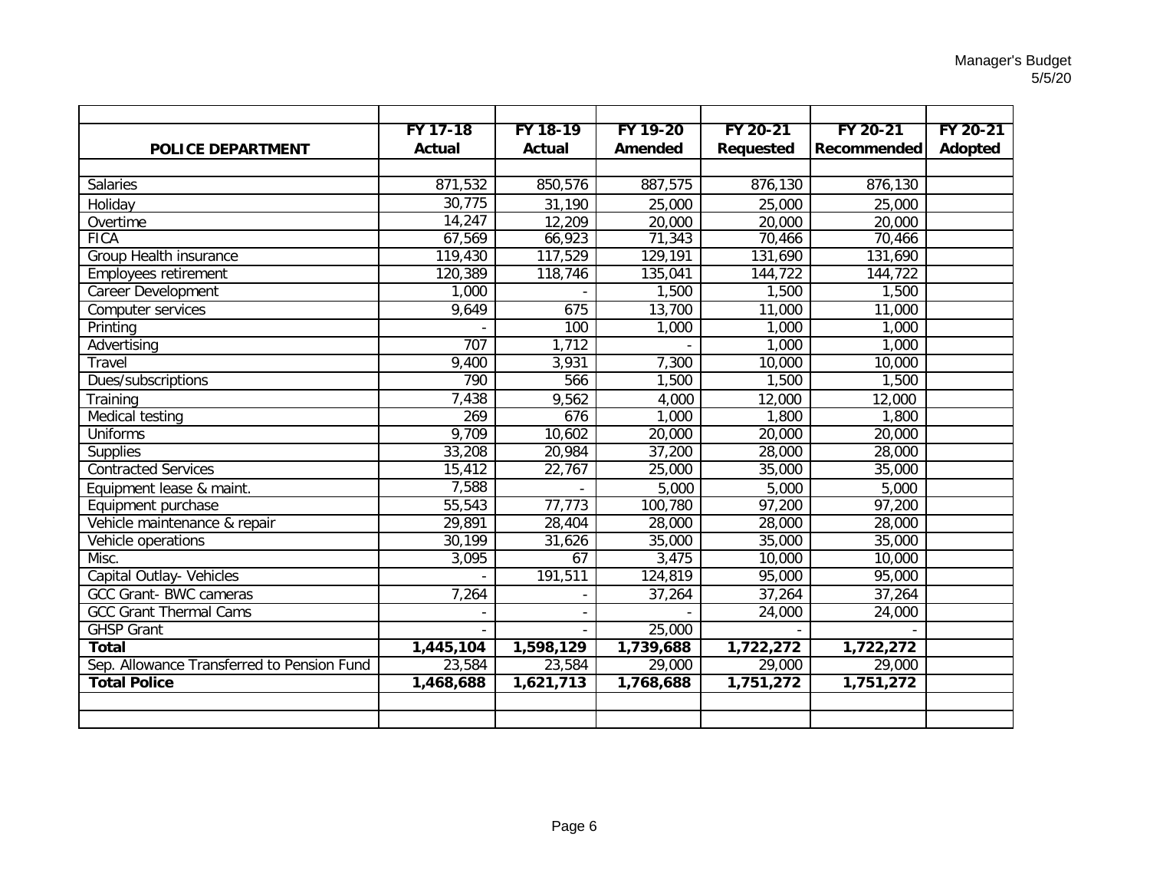|                                            | FY 17-18      | FY 18-19      | FY 19-20  | FY 20-21         | FY 20-21    | FY 20-21 |
|--------------------------------------------|---------------|---------------|-----------|------------------|-------------|----------|
| <b>POLICE DEPARTMENT</b>                   | <b>Actual</b> | <b>Actual</b> | Amended   | <b>Requested</b> | Recommended | Adopted  |
|                                            |               |               |           |                  |             |          |
| Salaries                                   | 871,532       | 850,576       | 887,575   | 876,130          | 876,130     |          |
| Holiday                                    | 30,775        | 31,190        | 25,000    | 25,000           | 25,000      |          |
| Overtime                                   | 14,247        | 12,209        | 20,000    | 20,000           | 20,000      |          |
| <b>FICA</b>                                | 67,569        | 66,923        | 71,343    | 70,466           | 70,466      |          |
| Group Health insurance                     | 119,430       | 117,529       | 129,191   | 131,690          | 131,690     |          |
| <b>Employees retirement</b>                | 120,389       | 118,746       | 135,041   | 144,722          | 144,722     |          |
| Career Development                         | 1,000         |               | 1,500     | 1,500            | 1,500       |          |
| Computer services                          | 9,649         | 675           | 13,700    | 11,000           | 11,000      |          |
| Printing                                   |               | 100           | 1,000     | 1,000            | 1,000       |          |
| Advertising                                | 707           | 1,712         |           | 1,000            | 1,000       |          |
| Travel                                     | 9,400         | 3,931         | 7,300     | 10,000           | 10,000      |          |
| Dues/subscriptions                         | 790           | 566           | 1,500     | 1,500            | 1,500       |          |
| Training                                   | 7,438         | 9,562         | 4,000     | 12,000           | 12,000      |          |
| <b>Medical testing</b>                     | 269           | 676           | 1,000     | 1,800            | 1,800       |          |
| <b>Uniforms</b>                            | 9,709         | 10,602        | 20,000    | 20,000           | 20,000      |          |
| <b>Supplies</b>                            | 33,208        | 20,984        | 37,200    | 28,000           | 28,000      |          |
| <b>Contracted Services</b>                 | 15,412        | 22,767        | 25,000    | 35,000           | 35,000      |          |
| Equipment lease & maint.                   | 7,588         |               | 5,000     | 5,000            | 5,000       |          |
| Equipment purchase                         | 55,543        | 77,773        | 100,780   | 97,200           | 97,200      |          |
| Vehicle maintenance & repair               | 29,891        | 28,404        | 28,000    | 28,000           | 28,000      |          |
| Vehicle operations                         | 30,199        | 31,626        | 35,000    | 35,000           | 35,000      |          |
| Misc.                                      | 3,095         | 67            | 3,475     | 10,000           | 10,000      |          |
| Capital Outlay- Vehicles                   |               | 191,511       | 124,819   | 95,000           | 95,000      |          |
| <b>GCC Grant-BWC cameras</b>               | 7,264         |               | 37,264    | 37,264           | 37,264      |          |
| <b>GCC Grant Thermal Cams</b>              |               |               |           | 24,000           | 24,000      |          |
| <b>GHSP Grant</b>                          |               |               | 25,000    |                  |             |          |
| <b>Total</b>                               | 1,445,104     | 1,598,129     | 1,739,688 | 1,722,272        | 1,722,272   |          |
| Sep. Allowance Transferred to Pension Fund | 23,584        | 23,584        | 29,000    | 29,000           | 29,000      |          |
| <b>Total Police</b>                        | 1,468,688     | 1,621,713     | 1,768,688 | 1,751,272        | 1,751,272   |          |
|                                            |               |               |           |                  |             |          |
|                                            |               |               |           |                  |             |          |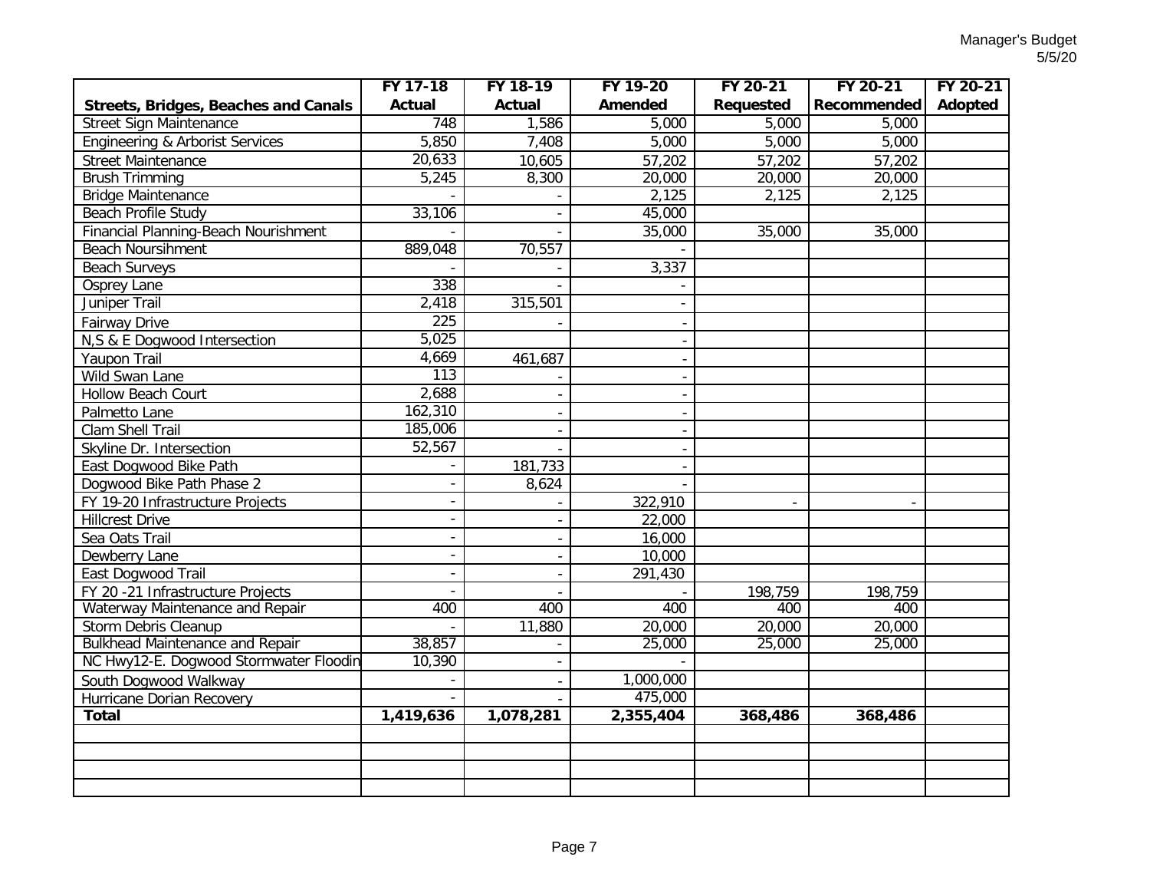|                                             | FY 17-18                 | FY 18-19      | FY 19-20       | FY 20-21                 | FY 20-21            | FY 20-21 |
|---------------------------------------------|--------------------------|---------------|----------------|--------------------------|---------------------|----------|
| <b>Streets, Bridges, Beaches and Canals</b> | <b>Actual</b>            | <b>Actual</b> | <b>Amended</b> | <b>Requested</b>         | Recommended         | Adopted  |
| <b>Street Sign Maintenance</b>              | 748                      | 1,586         | 5,000          | 5,000                    | 5,000               |          |
| <b>Engineering &amp; Arborist Services</b>  | 5,850                    | 7,408         | 5,000          | 5,000                    | 5,000               |          |
| <b>Street Maintenance</b>                   | 20,633                   | 10,605        | 57,202         | 57,202                   | 57,202              |          |
| <b>Brush Trimming</b>                       | 5,245                    | 8,300         | 20,000         | 20,000                   | 20,000              |          |
| <b>Bridge Maintenance</b>                   |                          |               | 2,125          | 2,125                    | 2,125               |          |
| Beach Profile Study                         | 33,106                   |               | 45,000         |                          |                     |          |
| Financial Planning-Beach Nourishment        |                          |               | 35,000         | 35,000                   | 35,000              |          |
| <b>Beach Noursihment</b>                    | 889,048                  | 70,557        |                |                          |                     |          |
| <b>Beach Surveys</b>                        |                          |               | 3,337          |                          |                     |          |
| Osprey Lane                                 | 338                      |               |                |                          |                     |          |
| Juniper Trail                               | 2,418                    | 315,501       |                |                          |                     |          |
| <b>Fairway Drive</b>                        | 225                      |               |                |                          |                     |          |
| N,S & E Dogwood Intersection                | 5,025                    |               |                |                          |                     |          |
| Yaupon Trail                                | 4,669                    | 461,687       |                |                          |                     |          |
| Wild Swan Lane                              | 113                      |               |                |                          |                     |          |
| <b>Hollow Beach Court</b>                   | 2,688                    |               |                |                          |                     |          |
| Palmetto Lane                               | 162,310                  |               |                |                          |                     |          |
| Clam Shell Trail                            | 185,006                  |               |                |                          |                     |          |
| Skyline Dr. Intersection                    | 52,567                   |               |                |                          |                     |          |
| East Dogwood Bike Path                      |                          | 181,733       |                |                          |                     |          |
| Dogwood Bike Path Phase 2                   | $\blacksquare$           | 8,624         |                |                          |                     |          |
| FY 19-20 Infrastructure Projects            |                          |               | 322,910        | $\overline{\phantom{a}}$ |                     |          |
| <b>Hillcrest Drive</b>                      | $\blacksquare$           |               | 22,000         |                          |                     |          |
| Sea Oats Trail                              | $\overline{\phantom{a}}$ |               | 16,000         |                          |                     |          |
| Dewberry Lane                               | $\blacksquare$           |               | 10,000         |                          |                     |          |
| East Dogwood Trail                          | $\overline{a}$           |               | 291,430        |                          |                     |          |
| FY 20 -21 Infrastructure Projects           | $\blacksquare$           |               |                | 198,759                  | 198,759             |          |
| Waterway Maintenance and Repair             | 400                      | 400           | 400            | 400                      | 400                 |          |
| Storm Debris Cleanup                        |                          | 11,880        | 20,000         | 20,000                   | $\overline{20,000}$ |          |
| <b>Bulkhead Maintenance and Repair</b>      | 38,857                   |               | 25,000         | 25,000                   | 25,000              |          |
| NC Hwy12-E. Dogwood Stormwater Floodin      | 10,390                   |               |                |                          |                     |          |
| South Dogwood Walkway                       |                          |               | 1,000,000      |                          |                     |          |
| Hurricane Dorian Recovery                   |                          |               | 475,000        |                          |                     |          |
| <b>Total</b>                                | 1,419,636                | 1,078,281     | 2,355,404      | 368,486                  | 368,486             |          |
|                                             |                          |               |                |                          |                     |          |
|                                             |                          |               |                |                          |                     |          |
|                                             |                          |               |                |                          |                     |          |
|                                             |                          |               |                |                          |                     |          |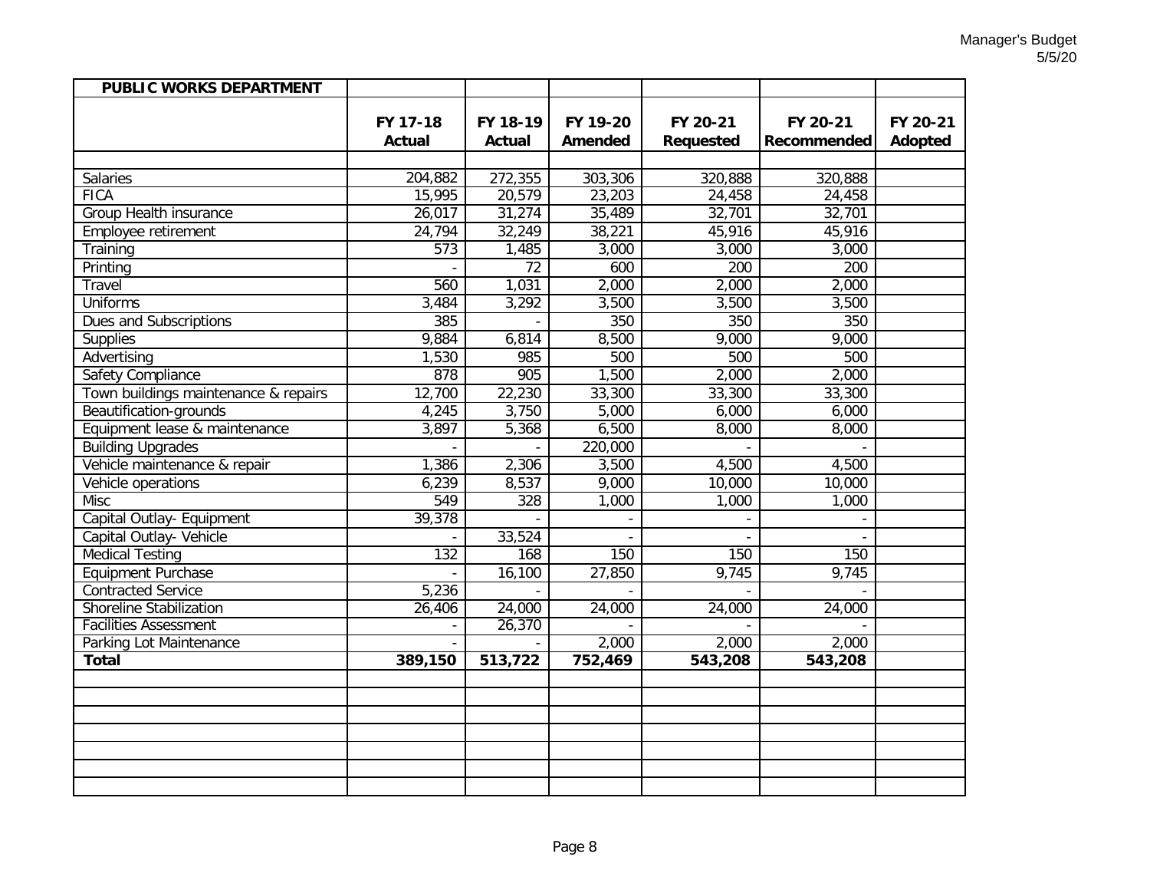| <b>PUBLIC WORKS DEPARTMENT</b>       |                  |                  |          |                  |             |          |
|--------------------------------------|------------------|------------------|----------|------------------|-------------|----------|
|                                      |                  |                  |          |                  |             |          |
|                                      | FY 17-18         | FY 18-19         | FY 19-20 | FY 20-21         | FY 20-21    | FY 20-21 |
|                                      | <b>Actual</b>    | <b>Actual</b>    | Amended  | Requested        | Recommended | Adopted  |
|                                      |                  |                  |          |                  |             |          |
| Salaries                             | 204,882          | 272,355          | 303,306  | 320,888          | 320,888     |          |
| <b>FICA</b>                          | 15,995           | 20,579           | 23,203   | 24,458           | 24,458      |          |
| Group Health insurance               | 26,017           | 31,274           | 35,489   | 32,701           | 32,701      |          |
| Employee retirement                  | 24,794           | 32,249           | 38,221   | 45,916           | 45,916      |          |
| Training                             | $\overline{573}$ | 1,485            | 3,000    | 3,000            | 3,000       |          |
| Printing                             |                  | $\overline{72}$  | 600      | $\overline{200}$ | 200         |          |
| Travel                               | 560              | 1,031            | 2,000    | 2,000            | 2,000       |          |
| <b>Uniforms</b>                      | 3,484            | 3,292            | 3,500    | 3,500            | 3,500       |          |
| <b>Dues and Subscriptions</b>        | 385              |                  | 350      | 350              | 350         |          |
| Supplies                             | 9,884            | 6,814            | 8,500    | 9,000            | 9,000       |          |
| Advertising                          | 1,530            | 985              | 500      | 500              | 500         |          |
| <b>Safety Compliance</b>             | 878              | $\overline{905}$ | 1,500    | 2,000            | 2,000       |          |
| Town buildings maintenance & repairs | 12,700           | 22,230           | 33,300   | 33,300           | 33,300      |          |
| Beautification-grounds               | 4,245            | 3,750            | 5,000    | 6,000            | 6,000       |          |
| Equipment lease & maintenance        | 3,897            | 5,368            | 6,500    | 8,000            | 8,000       |          |
| <b>Building Upgrades</b>             |                  |                  | 220,000  |                  |             |          |
| Vehicle maintenance & repair         | 1,386            | 2,306            | 3,500    | 4,500            | 4,500       |          |
| Vehicle operations                   | 6,239            | 8,537            | 9,000    | 10,000           | 10,000      |          |
| <b>Misc</b>                          | 549              | $\overline{328}$ | 1,000    | 1,000            | 1,000       |          |
| Capital Outlay- Equipment            | 39,378           |                  |          |                  |             |          |
| Capital Outlay- Vehicle              |                  | 33,524           |          |                  |             |          |
| <b>Medical Testing</b>               | 132              | 168              | 150      | 150              | 150         |          |
| Equipment Purchase                   |                  | 16,100           | 27,850   | 9,745            | 9,745       |          |
| <b>Contracted Service</b>            | 5,236            |                  |          |                  |             |          |
| <b>Shoreline Stabilization</b>       | 26,406           | 24,000           | 24,000   | 24,000           | 24,000      |          |
| <b>Facilities Assessment</b>         |                  | 26,370           |          |                  |             |          |
| Parking Lot Maintenance              |                  |                  | 2,000    | 2,000            | 2,000       |          |
| <b>Total</b>                         | 389,150          | 513,722          | 752,469  | 543,208          | 543,208     |          |
|                                      |                  |                  |          |                  |             |          |
|                                      |                  |                  |          |                  |             |          |
|                                      |                  |                  |          |                  |             |          |
|                                      |                  |                  |          |                  |             |          |
|                                      |                  |                  |          |                  |             |          |
|                                      |                  |                  |          |                  |             |          |
|                                      |                  |                  |          |                  |             |          |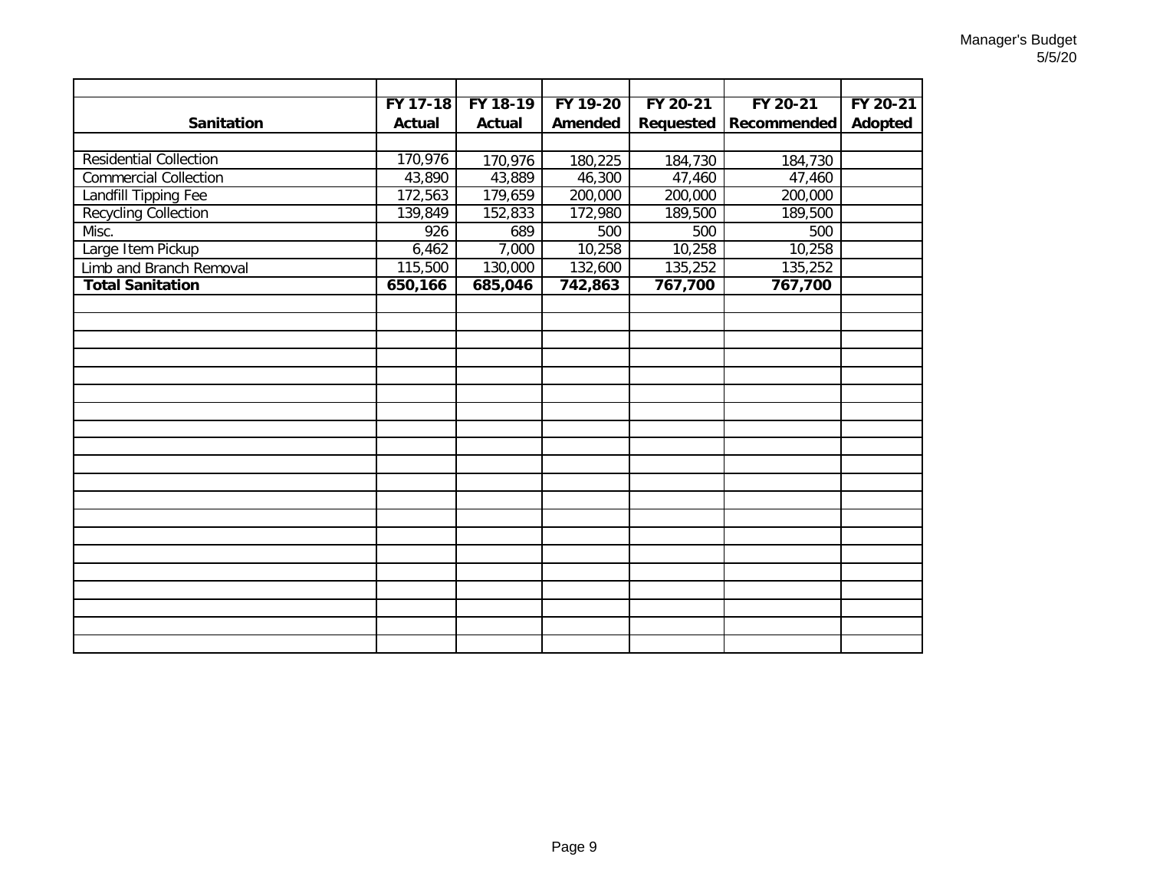|                               | FY 17-18 | FY 18-19 | FY 19-20 | FY 20-21  | FY 20-21    | FY 20-21 |
|-------------------------------|----------|----------|----------|-----------|-------------|----------|
| <b>Sanitation</b>             | Actual   | Actual   | Amended  | Requested | Recommended | Adopted  |
|                               |          |          |          |           |             |          |
| <b>Residential Collection</b> | 170,976  | 170,976  | 180,225  | 184,730   | 184,730     |          |
| <b>Commercial Collection</b>  | 43,890   | 43,889   | 46,300   | 47,460    | 47,460      |          |
| <b>Landfill Tipping Fee</b>   | 172,563  | 179,659  | 200,000  | 200,000   | 200,000     |          |
| <b>Recycling Collection</b>   | 139,849  | 152,833  | 172,980  | 189,500   | 189,500     |          |
| Misc.                         | 926      | 689      | 500      | 500       | 500         |          |
| Large Item Pickup             | 6,462    | 7,000    | 10,258   | 10,258    | 10,258      |          |
| Limb and Branch Removal       | 115,500  | 130,000  | 132,600  | 135,252   | 135,252     |          |
| <b>Total Sanitation</b>       | 650,166  | 685,046  | 742,863  | 767,700   | 767,700     |          |
|                               |          |          |          |           |             |          |
|                               |          |          |          |           |             |          |
|                               |          |          |          |           |             |          |
|                               |          |          |          |           |             |          |
|                               |          |          |          |           |             |          |
|                               |          |          |          |           |             |          |
|                               |          |          |          |           |             |          |
|                               |          |          |          |           |             |          |
|                               |          |          |          |           |             |          |
|                               |          |          |          |           |             |          |
|                               |          |          |          |           |             |          |
|                               |          |          |          |           |             |          |
|                               |          |          |          |           |             |          |
|                               |          |          |          |           |             |          |
|                               |          |          |          |           |             |          |
|                               |          |          |          |           |             |          |
|                               |          |          |          |           |             |          |
|                               |          |          |          |           |             |          |
|                               |          |          |          |           |             |          |
|                               |          |          |          |           |             |          |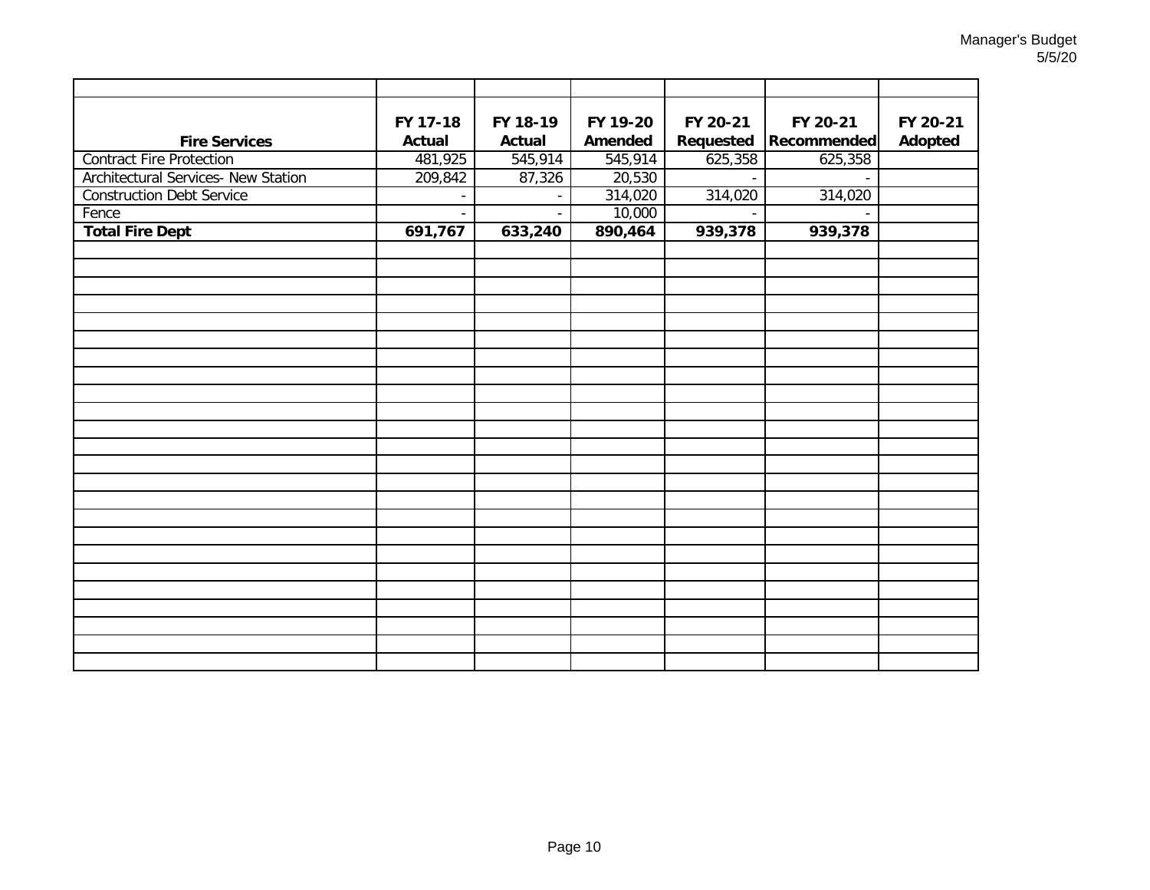| <b>Fire Services</b>                       | FY 17-18<br><b>Actual</b> | FY 18-19<br><b>Actual</b> | FY 19-20<br>Amended | FY 20-21<br>Requested | FY 20-21<br><b>Recommended</b> | FY 20-21<br><b>Adopted</b> |
|--------------------------------------------|---------------------------|---------------------------|---------------------|-----------------------|--------------------------------|----------------------------|
| <b>Contract Fire Protection</b>            | 481,925                   | 545,914                   | 545,914             | 625,358               | 625,358                        |                            |
| <b>Architectural Services- New Station</b> | 209,842                   | 87,326                    | 20,530              | $\mathbf{r}$          |                                |                            |
| <b>Construction Debt Service</b>           |                           |                           | 314,020             | 314,020               | 314,020                        |                            |
| Fence                                      |                           | $\overline{a}$            | 10,000              |                       |                                |                            |
| <b>Total Fire Dept</b>                     | 691,767                   | 633,240                   | 890,464             | 939,378               | 939,378                        |                            |
|                                            |                           |                           |                     |                       |                                |                            |
|                                            |                           |                           |                     |                       |                                |                            |
|                                            |                           |                           |                     |                       |                                |                            |
|                                            |                           |                           |                     |                       |                                |                            |
|                                            |                           |                           |                     |                       |                                |                            |
|                                            |                           |                           |                     |                       |                                |                            |
|                                            |                           |                           |                     |                       |                                |                            |
|                                            |                           |                           |                     |                       |                                |                            |
|                                            |                           |                           |                     |                       |                                |                            |
|                                            |                           |                           |                     |                       |                                |                            |
|                                            |                           |                           |                     |                       |                                |                            |
|                                            |                           |                           |                     |                       |                                |                            |
|                                            |                           |                           |                     |                       |                                |                            |
|                                            |                           |                           |                     |                       |                                |                            |
|                                            |                           |                           |                     |                       |                                |                            |
|                                            |                           |                           |                     |                       |                                |                            |
|                                            |                           |                           |                     |                       |                                |                            |
|                                            |                           |                           |                     |                       |                                |                            |
|                                            |                           |                           |                     |                       |                                |                            |
|                                            |                           |                           |                     |                       |                                |                            |
|                                            |                           |                           |                     |                       |                                |                            |
|                                            |                           |                           |                     |                       |                                |                            |
|                                            |                           |                           |                     |                       |                                |                            |
|                                            |                           |                           |                     |                       |                                |                            |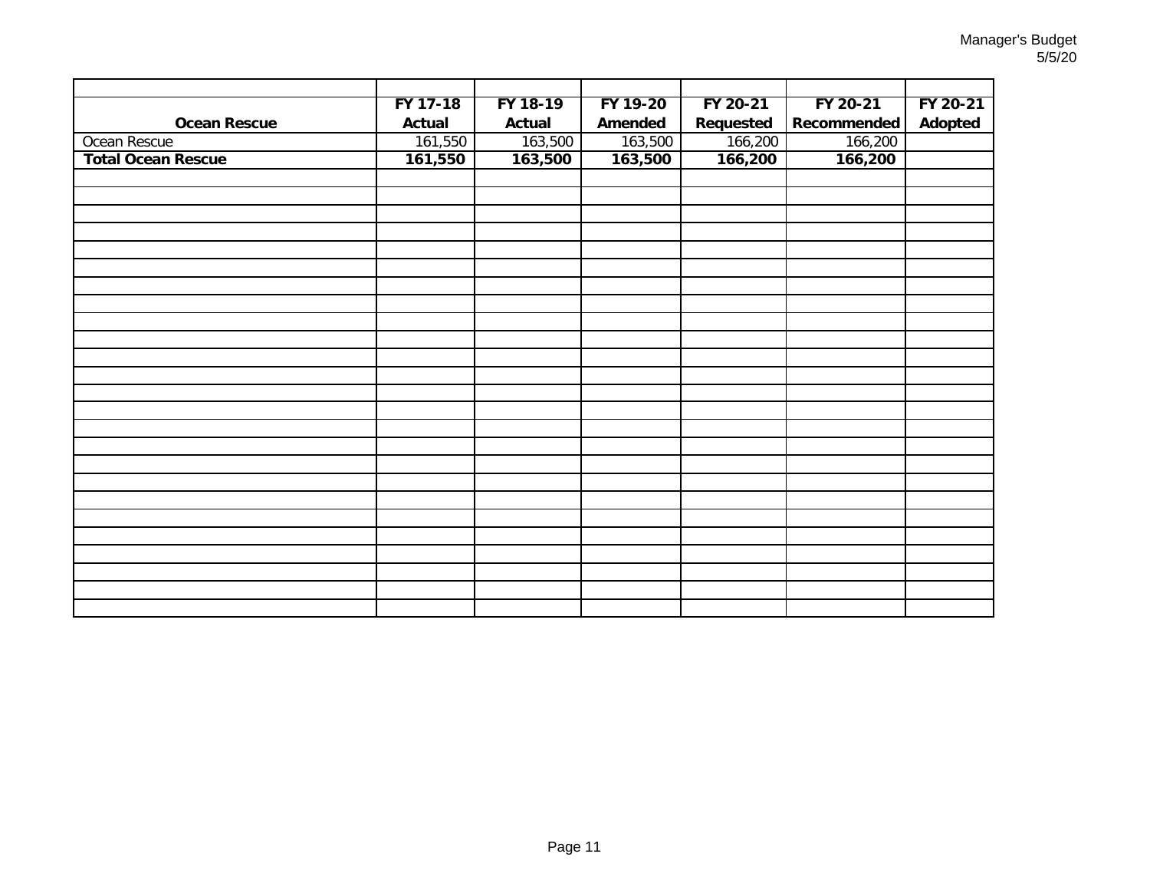|                           | FY 17-18 | FY 18-19 | FY 19-20 | FY 20-21  | FY 20-21    | FY 20-21 |
|---------------------------|----------|----------|----------|-----------|-------------|----------|
| <b>Ocean Rescue</b>       | Actual   | Actual   | Amended  | Requested | Recommended | Adopted  |
| Ocean Rescue              | 161,550  | 163,500  | 163,500  | 166,200   | 166,200     |          |
| <b>Total Ocean Rescue</b> | 161,550  | 163,500  | 163,500  | 166,200   | 166,200     |          |
|                           |          |          |          |           |             |          |
|                           |          |          |          |           |             |          |
|                           |          |          |          |           |             |          |
|                           |          |          |          |           |             |          |
|                           |          |          |          |           |             |          |
|                           |          |          |          |           |             |          |
|                           |          |          |          |           |             |          |
|                           |          |          |          |           |             |          |
|                           |          |          |          |           |             |          |
|                           |          |          |          |           |             |          |
|                           |          |          |          |           |             |          |
|                           |          |          |          |           |             |          |
|                           |          |          |          |           |             |          |
|                           |          |          |          |           |             |          |
|                           |          |          |          |           |             |          |
|                           |          |          |          |           |             |          |
|                           |          |          |          |           |             |          |
|                           |          |          |          |           |             |          |
|                           |          |          |          |           |             |          |
|                           |          |          |          |           |             |          |
|                           |          |          |          |           |             |          |
|                           |          |          |          |           |             |          |
|                           |          |          |          |           |             |          |
|                           |          |          |          |           |             |          |
|                           |          |          |          |           |             |          |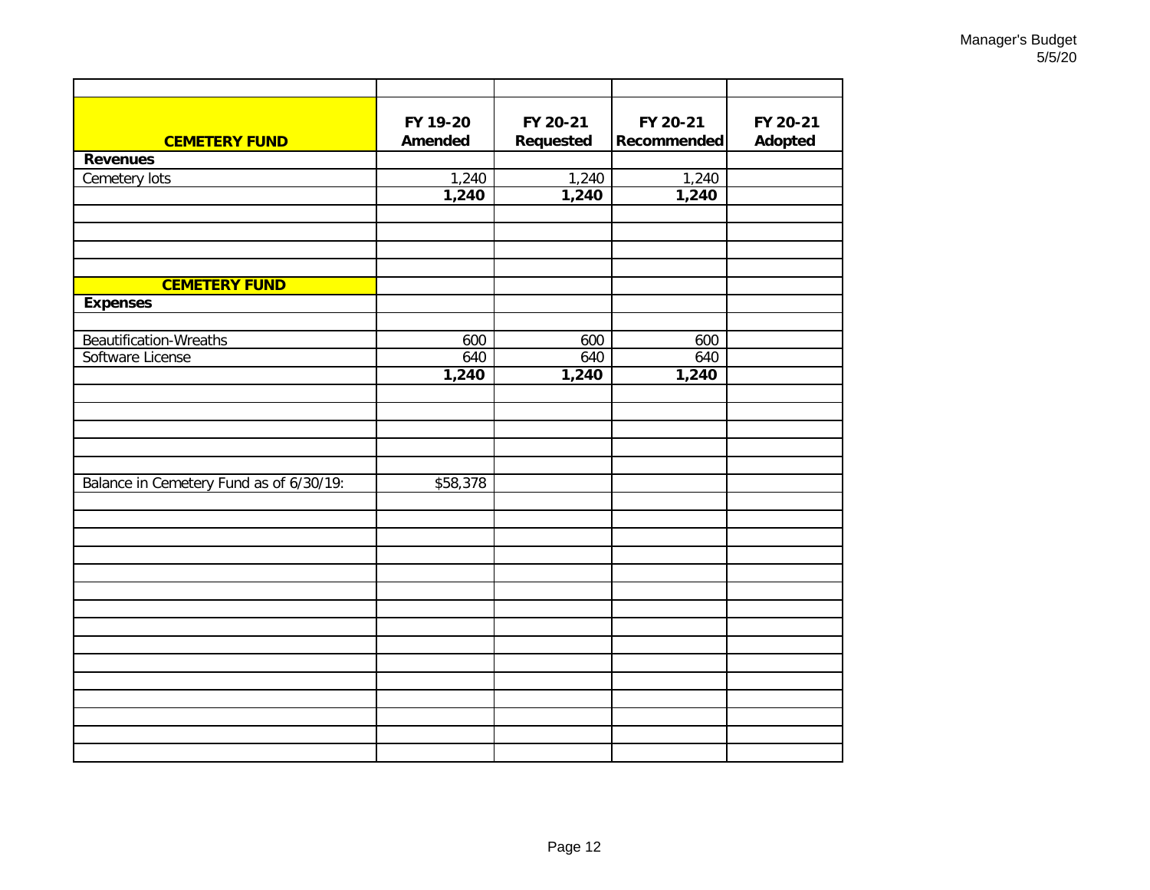| <b>CEMETERY FUND</b>                    | FY 19-20<br><b>Amended</b> | FY 20-21<br>Requested | FY 20-21<br>Recommended | FY 20-21<br><b>Adopted</b> |
|-----------------------------------------|----------------------------|-----------------------|-------------------------|----------------------------|
| <b>Revenues</b>                         |                            |                       |                         |                            |
| Cemetery lots                           | 1,240                      | 1,240                 | 1,240                   |                            |
|                                         | 1,240                      | 1,240                 | 1,240                   |                            |
|                                         |                            |                       |                         |                            |
|                                         |                            |                       |                         |                            |
|                                         |                            |                       |                         |                            |
| <b>CEMETERY FUND</b><br><b>Expenses</b> |                            |                       |                         |                            |
|                                         |                            |                       |                         |                            |
| Beautification-Wreaths                  | 600                        | 600                   | 600                     |                            |
| Software License                        | 640                        | 640                   | 640                     |                            |
|                                         | 1,240                      | 1,240                 | 1,240                   |                            |
|                                         |                            |                       |                         |                            |
|                                         |                            |                       |                         |                            |
|                                         |                            |                       |                         |                            |
| Balance in Cemetery Fund as of 6/30/19: | \$58,378                   |                       |                         |                            |
|                                         |                            |                       |                         |                            |
|                                         |                            |                       |                         |                            |
|                                         |                            |                       |                         |                            |
|                                         |                            |                       |                         |                            |
|                                         |                            |                       |                         |                            |
|                                         |                            |                       |                         |                            |
|                                         |                            |                       |                         |                            |
|                                         |                            |                       |                         |                            |
|                                         |                            |                       |                         |                            |
|                                         |                            |                       |                         |                            |
|                                         |                            |                       |                         |                            |